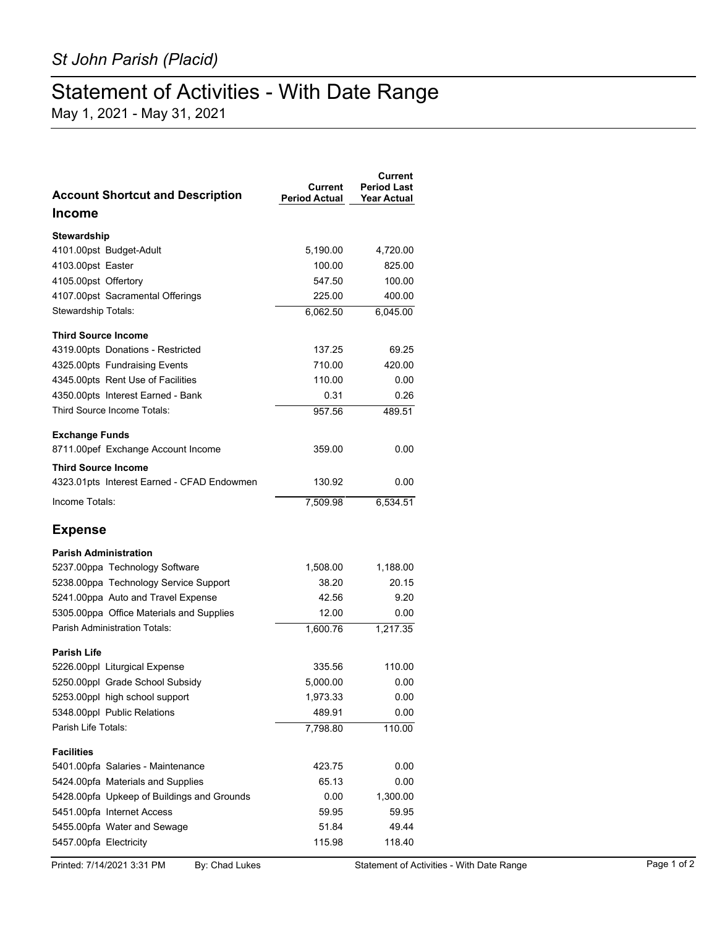## Statement of Activities - With Date Range

May 1, 2021 - May 31, 2021

| <b>Account Shortcut and Description</b>    | Current<br><b>Period Actual</b> | Current<br><b>Period Last</b><br><b>Year Actual</b> |
|--------------------------------------------|---------------------------------|-----------------------------------------------------|
| Income                                     |                                 |                                                     |
| Stewardship                                |                                 |                                                     |
| 4101.00pst Budget-Adult                    | 5,190.00                        | 4,720.00                                            |
| 4103.00pst Easter                          | 100.00                          | 825.00                                              |
| 4105.00pst Offertory                       | 547.50                          | 100.00                                              |
| 4107.00pst Sacramental Offerings           | 225.00                          | 400.00                                              |
| Stewardship Totals:                        | 6,062.50                        | 6,045.00                                            |
| <b>Third Source Income</b>                 |                                 |                                                     |
| 4319.00pts Donations - Restricted          | 137.25                          | 69.25                                               |
| 4325.00pts Fundraising Events              | 710.00                          | 420.00                                              |
| 4345.00pts Rent Use of Facilities          | 110.00                          | 0.00                                                |
| 4350.00pts Interest Earned - Bank          | 0.31                            | 0.26                                                |
| Third Source Income Totals:                | 957.56                          | 489.51                                              |
| <b>Exchange Funds</b>                      |                                 |                                                     |
| 8711.00pef Exchange Account Income         | 359.00                          | 0.00                                                |
| <b>Third Source Income</b>                 |                                 |                                                     |
| 4323.01pts Interest Earned - CFAD Endowmen | 130.92                          | 0.00                                                |
| Income Totals:                             | 7,509.98                        | 6,534.51                                            |
| <b>Expense</b>                             |                                 |                                                     |
| <b>Parish Administration</b>               |                                 |                                                     |
| 5237.00ppa Technology Software             | 1,508.00                        | 1,188.00                                            |
| 5238.00ppa Technology Service Support      | 38.20                           | 20.15                                               |
| 5241.00ppa Auto and Travel Expense         | 42.56                           | 9.20                                                |
| 5305.00ppa Office Materials and Supplies   | 12.00                           | 0.00                                                |
| Parish Administration Totals:              | 1,600.76                        | 1,217.35                                            |
| <b>Parish Life</b>                         |                                 |                                                     |
| 5226.00ppl Liturgical Expense              | 335.56                          | 110.00                                              |
| 5250.00ppl Grade School Subsidy            | 5,000.00                        | 0.00                                                |
| 5253.00ppl high school support             | 1,973.33                        | 0.00                                                |
| 5348.00ppl Public Relations                | 489.91                          | 0.00                                                |
| Parish Life Totals:                        | 7,798.80                        | 110.00                                              |
| <b>Facilities</b>                          |                                 |                                                     |
| 5401.00pfa Salaries - Maintenance          | 423.75                          | 0.00                                                |
| 5424.00pfa Materials and Supplies          | 65.13                           | 0.00                                                |
| 5428.00pfa Upkeep of Buildings and Grounds | 0.00                            | 1,300.00                                            |
| 5451.00pfa Internet Access                 | 59.95                           | 59.95                                               |
| 5455.00pfa Water and Sewage                | 51.84                           | 49.44                                               |
| 5457.00pfa Electricity                     | 115.98                          | 118.40                                              |